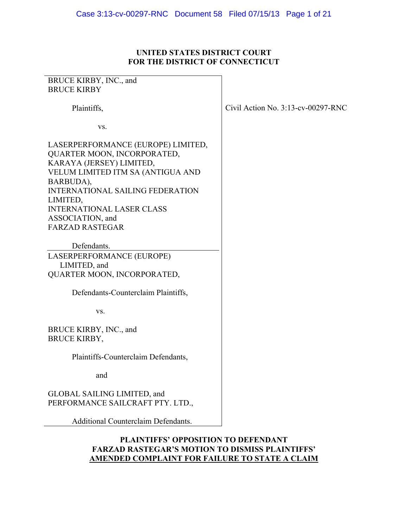# **UNITED STATES DISTRICT COURT FOR THE DISTRICT OF CONNECTICUT**

| BRUCE KIRBY, INC., and                                                                                                                                                                                                                     |                                       |
|--------------------------------------------------------------------------------------------------------------------------------------------------------------------------------------------------------------------------------------------|---------------------------------------|
| <b>BRUCE KIRBY</b>                                                                                                                                                                                                                         |                                       |
| Plaintiffs,                                                                                                                                                                                                                                | Civil Action No. $3:13$ -cv-00297-RNC |
| VS.                                                                                                                                                                                                                                        |                                       |
| LASERPERFORMANCE (EUROPE) LIMITED,<br>QUARTER MOON, INCORPORATED,<br>KARAYA (JERSEY) LIMITED,<br>VELUM LIMITED ITM SA (ANTIGUA AND<br>BARBUDA),<br><b>INTERNATIONAL SAILING FEDERATION</b><br>LIMITED,<br><b>INTERNATIONAL LASER CLASS</b> |                                       |
| ASSOCIATION, and                                                                                                                                                                                                                           |                                       |
| <b>FARZAD RASTEGAR</b>                                                                                                                                                                                                                     |                                       |
| Defendants.                                                                                                                                                                                                                                |                                       |
| LASERPERFORMANCE (EUROPE)                                                                                                                                                                                                                  |                                       |
| LIMITED, and                                                                                                                                                                                                                               |                                       |
| QUARTER MOON, INCORPORATED,                                                                                                                                                                                                                |                                       |
| Defendants-Counterclaim Plaintiffs,                                                                                                                                                                                                        |                                       |
| VS.                                                                                                                                                                                                                                        |                                       |
| BRUCE KIRBY, INC., and<br><b>BRUCE KIRBY,</b>                                                                                                                                                                                              |                                       |
| Plaintiffs-Counterclaim Defendants,                                                                                                                                                                                                        |                                       |
| and                                                                                                                                                                                                                                        |                                       |
| GLOBAL SAILING LIMITED, and<br>PERFORMANCE SAILCRAFT PTY. LTD.,                                                                                                                                                                            |                                       |
| <b>Additional Counterclaim Defendants.</b>                                                                                                                                                                                                 |                                       |

# **PLAINTIFFS' OPPOSITION TO DEFENDANT FARZAD RASTEGAR'S MOTION TO DISMISS PLAINTIFFS' AMENDED COMPLAINT FOR FAILURE TO STATE A CLAIM**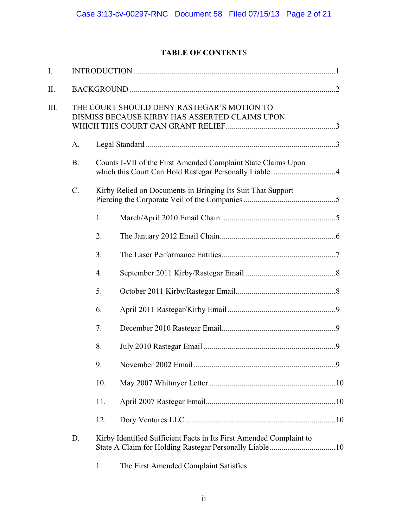# **TABLE OF CONTENT**S

| I.   |           |                  |                                                                                              |  |
|------|-----------|------------------|----------------------------------------------------------------------------------------------|--|
| Π.   |           |                  |                                                                                              |  |
| III. |           |                  | THE COURT SHOULD DENY RASTEGAR'S MOTION TO<br>DISMISS BECAUSE KIRBY HAS ASSERTED CLAIMS UPON |  |
|      | A.        |                  |                                                                                              |  |
|      | <b>B.</b> |                  | Counts I-VII of the First Amended Complaint State Claims Upon                                |  |
|      | $C$ .     |                  | Kirby Relied on Documents in Bringing Its Suit That Support                                  |  |
|      |           | 1.               |                                                                                              |  |
|      |           | 2.               |                                                                                              |  |
|      |           | 3.               |                                                                                              |  |
|      |           | $\overline{4}$ . |                                                                                              |  |
|      |           | 5.               |                                                                                              |  |
|      |           | 6.               |                                                                                              |  |
|      |           | 7.               |                                                                                              |  |
|      |           | 8.               |                                                                                              |  |
|      |           | 9.               |                                                                                              |  |
|      |           | 10.              |                                                                                              |  |
|      |           | 11.              |                                                                                              |  |
|      |           | 12.              |                                                                                              |  |
|      | D.        |                  | Kirby Identified Sufficient Facts in Its First Amended Complaint to                          |  |
|      |           | 1.               | The First Amended Complaint Satisfies                                                        |  |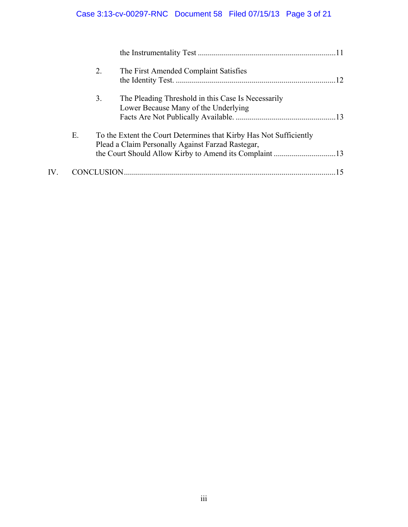# Case 3:13-cv-00297-RNC Document 58 Filed 07/15/13 Page 3 of 21

|               |    | 2. | The First Amended Complaint Satisfies                                                                                   | -12 |
|---------------|----|----|-------------------------------------------------------------------------------------------------------------------------|-----|
|               |    | 3. | The Pleading Threshold in this Case Is Necessarily<br>Lower Because Many of the Underlying                              |     |
|               | Е. |    | To the Extent the Court Determines that Kirby Has Not Sufficiently<br>Plead a Claim Personally Against Farzad Rastegar, |     |
| $\mathbf{IV}$ |    |    |                                                                                                                         |     |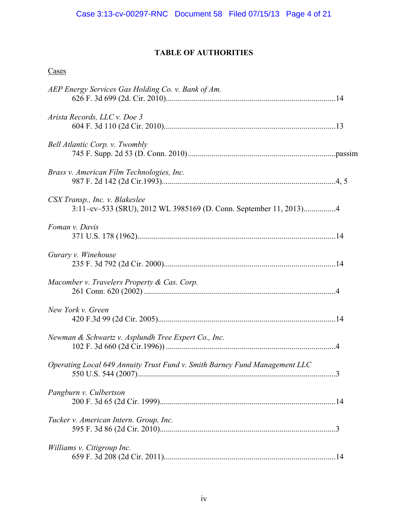# **TABLE OF AUTHORITIES**

| <b>Cases</b>                                                                                        |  |
|-----------------------------------------------------------------------------------------------------|--|
| AEP Energy Services Gas Holding Co. v. Bank of Am.                                                  |  |
| Arista Records, LLC v. Doe 3                                                                        |  |
| <b>Bell Atlantic Corp. v. Twombly</b>                                                               |  |
| Brass v. American Film Technologies, Inc.                                                           |  |
| CSX Transp., Inc. v. Blakeslee<br>3:11-cv-533 (SRU), 2012 WL 3985169 (D. Conn. September 11, 2013)4 |  |
| Foman v. Davis                                                                                      |  |
| Gurary v. Winehouse                                                                                 |  |
| Macomber v. Travelers Property & Cas. Corp.                                                         |  |
| New York v. Green                                                                                   |  |
| Newman & Schwartz v. Asplundh Tree Expert Co., Inc.                                                 |  |
| Operating Local 649 Annuity Trust Fund v. Smith Barney Fund Management LLC                          |  |
| Pangburn v. Culbertson                                                                              |  |
| Tucker v. American Intern. Group, Inc.                                                              |  |
| Williams v. Citigroup Inc.                                                                          |  |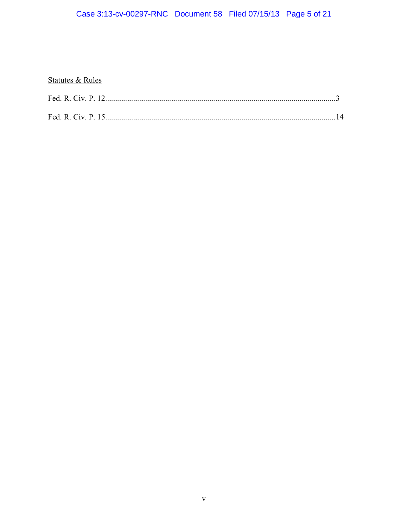# Case 3:13-cv-00297-RNC Document 58 Filed 07/15/13 Page 5 of 21

# **Statutes & Rules**

| Fed. R. Civ. P. 12 |  |  |
|--------------------|--|--|
|                    |  |  |
|                    |  |  |
| Fed R Civ $P$ 15   |  |  |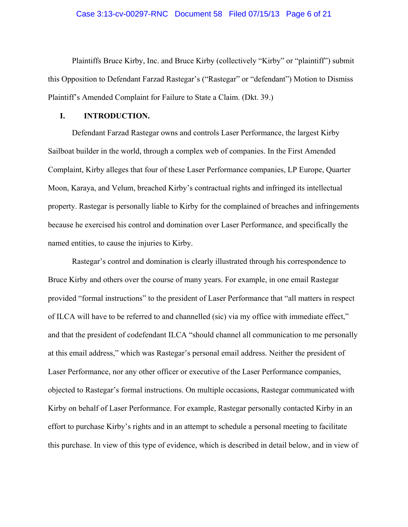#### Case 3:13-cv-00297-RNC Document 58 Filed 07/15/13 Page 6 of 21

Plaintiffs Bruce Kirby, Inc. and Bruce Kirby (collectively "Kirby" or "plaintiff") submit this Opposition to Defendant Farzad Rastegar's ("Rastegar" or "defendant") Motion to Dismiss Plaintiff's Amended Complaint for Failure to State a Claim. (Dkt. 39.)

#### **I. INTRODUCTION.**

 Defendant Farzad Rastegar owns and controls Laser Performance, the largest Kirby Sailboat builder in the world, through a complex web of companies. In the First Amended Complaint, Kirby alleges that four of these Laser Performance companies, LP Europe, Quarter Moon, Karaya, and Velum, breached Kirby's contractual rights and infringed its intellectual property. Rastegar is personally liable to Kirby for the complained of breaches and infringements because he exercised his control and domination over Laser Performance, and specifically the named entities, to cause the injuries to Kirby.

 Rastegar's control and domination is clearly illustrated through his correspondence to Bruce Kirby and others over the course of many years. For example, in one email Rastegar provided "formal instructions" to the president of Laser Performance that "all matters in respect of ILCA will have to be referred to and channelled (sic) via my office with immediate effect," and that the president of codefendant ILCA "should channel all communication to me personally at this email address," which was Rastegar's personal email address. Neither the president of Laser Performance, nor any other officer or executive of the Laser Performance companies, objected to Rastegar's formal instructions. On multiple occasions, Rastegar communicated with Kirby on behalf of Laser Performance. For example, Rastegar personally contacted Kirby in an effort to purchase Kirby's rights and in an attempt to schedule a personal meeting to facilitate this purchase. In view of this type of evidence, which is described in detail below, and in view of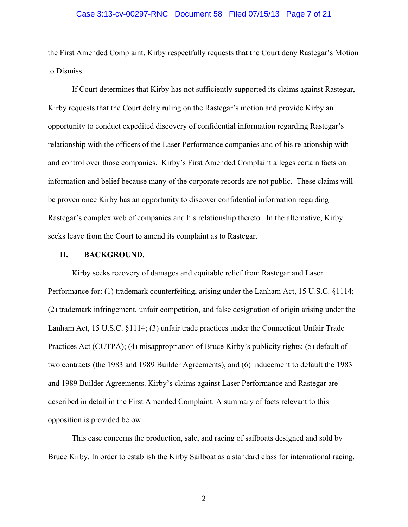#### Case 3:13-cv-00297-RNC Document 58 Filed 07/15/13 Page 7 of 21

the First Amended Complaint, Kirby respectfully requests that the Court deny Rastegar's Motion to Dismiss.

 If Court determines that Kirby has not sufficiently supported its claims against Rastegar, Kirby requests that the Court delay ruling on the Rastegar's motion and provide Kirby an opportunity to conduct expedited discovery of confidential information regarding Rastegar's relationship with the officers of the Laser Performance companies and of his relationship with and control over those companies. Kirby's First Amended Complaint alleges certain facts on information and belief because many of the corporate records are not public. These claims will be proven once Kirby has an opportunity to discover confidential information regarding Rastegar's complex web of companies and his relationship thereto. In the alternative, Kirby seeks leave from the Court to amend its complaint as to Rastegar.

#### **II. BACKGROUND.**

Kirby seeks recovery of damages and equitable relief from Rastegar and Laser Performance for: (1) trademark counterfeiting, arising under the Lanham Act, 15 U.S.C. §1114; (2) trademark infringement, unfair competition, and false designation of origin arising under the Lanham Act, 15 U.S.C. §1114; (3) unfair trade practices under the Connecticut Unfair Trade Practices Act (CUTPA); (4) misappropriation of Bruce Kirby's publicity rights; (5) default of two contracts (the 1983 and 1989 Builder Agreements), and (6) inducement to default the 1983 and 1989 Builder Agreements. Kirby's claims against Laser Performance and Rastegar are described in detail in the First Amended Complaint. A summary of facts relevant to this opposition is provided below.

This case concerns the production, sale, and racing of sailboats designed and sold by Bruce Kirby. In order to establish the Kirby Sailboat as a standard class for international racing,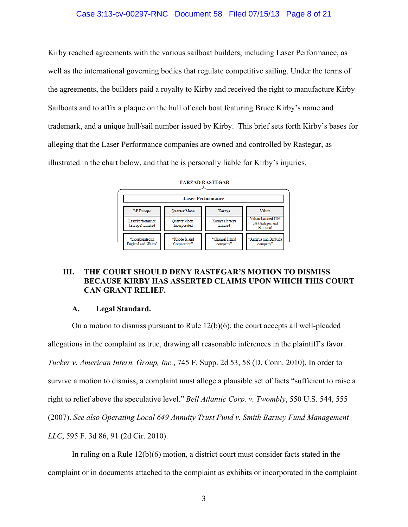### Case 3:13-cv-00297-RNC Document 58 Filed 07/15/13 Page 8 of 21

Kirby reached agreements with the various sailboat builders, including Laser Performance, as well as the international governing bodies that regulate competitive sailing. Under the terms of the agreements, the builders paid a royalty to Kirby and received the right to manufacture Kirby Sailboats and to affix a plaque on the hull of each boat featuring Bruce Kirby's name and trademark, and a unique hull/sail number issued by Kirby. This brief sets forth Kirby's bases for alleging that the Laser Performance companies are owned and controlled by Rastegar, as illustrated in the chart below, and that he is personally liable for Kirby's injuries.

| <b>Laser Performance</b>                      |                                      |                             |                                                  |  |  |
|-----------------------------------------------|--------------------------------------|-----------------------------|--------------------------------------------------|--|--|
| <b>LP</b> Europe                              | <b>Quarter Moon</b>                  | Karaya                      | <b>Velum</b>                                     |  |  |
| LaserPerformance<br>(Europe) Limited          | <b>Ouarter Moon.</b><br>Incorporated | Karaya (Jersey)<br>Limited  | Velum Limited ITM<br>SA (Antigua and<br>Barbuda) |  |  |
| "incorporated in<br><b>England and Wales"</b> | "Rhode Island<br>Corporation"        | "Channel Island<br>company" | "Antigua and Barbuda<br>company'                 |  |  |

FARZAD RASTEGAR

# **III. THE COURT SHOULD DENY RASTEGAR'S MOTION TO DISMISS BECAUSE KIRBY HAS ASSERTED CLAIMS UPON WHICH THIS COURT CAN GRANT RELIEF.**

#### **A. Legal Standard.**

On a motion to dismiss pursuant to Rule 12(b)(6), the court accepts all well-pleaded allegations in the complaint as true, drawing all reasonable inferences in the plaintiff's favor. *Tucker v. American Intern. Group, Inc.*, 745 F. Supp. 2d 53, 58 (D. Conn. 2010). In order to survive a motion to dismiss, a complaint must allege a plausible set of facts "sufficient to raise a right to relief above the speculative level." *Bell Atlantic Corp. v. Twombly*, 550 U.S. 544, 555 (2007). *See also Operating Local 649 Annuity Trust Fund v. Smith Barney Fund Management LLC*, 595 F. 3d 86, 91 (2d Cir. 2010).

In ruling on a Rule 12(b)(6) motion, a district court must consider facts stated in the complaint or in documents attached to the complaint as exhibits or incorporated in the complaint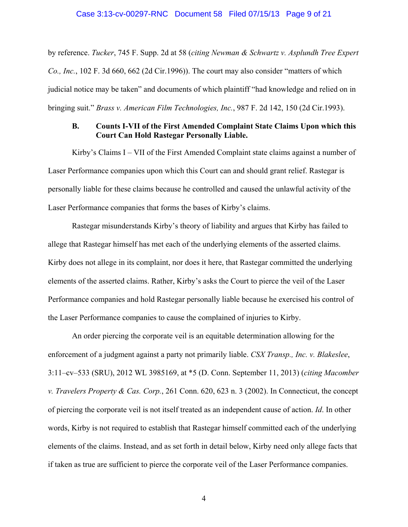#### Case 3:13-cv-00297-RNC Document 58 Filed 07/15/13 Page 9 of 21

by reference. *Tucker*, 745 F. Supp. 2d at 58 (*citing Newman & Schwartz v. Asplundh Tree Expert Co., Inc.*, 102 F. 3d 660, 662 (2d Cir.1996)). The court may also consider "matters of which judicial notice may be taken" and documents of which plaintiff "had knowledge and relied on in bringing suit." *Brass v. American Film Technologies, Inc.*, 987 F. 2d 142, 150 (2d Cir.1993).

### **B. Counts I-VII of the First Amended Complaint State Claims Upon which this Court Can Hold Rastegar Personally Liable.**

Kirby's Claims I – VII of the First Amended Complaint state claims against a number of Laser Performance companies upon which this Court can and should grant relief. Rastegar is personally liable for these claims because he controlled and caused the unlawful activity of the Laser Performance companies that forms the bases of Kirby's claims.

Rastegar misunderstands Kirby's theory of liability and argues that Kirby has failed to allege that Rastegar himself has met each of the underlying elements of the asserted claims. Kirby does not allege in its complaint, nor does it here, that Rastegar committed the underlying elements of the asserted claims. Rather, Kirby's asks the Court to pierce the veil of the Laser Performance companies and hold Rastegar personally liable because he exercised his control of the Laser Performance companies to cause the complained of injuries to Kirby.

An order piercing the corporate veil is an equitable determination allowing for the enforcement of a judgment against a party not primarily liable. *CSX Transp., Inc. v. Blakeslee*, 3:11–cv–533 (SRU), 2012 WL 3985169, at \*5 (D. Conn. September 11, 2013) (*citing Macomber v. Travelers Property & Cas. Corp.*, 261 Conn. 620, 623 n. 3 (2002). In Connecticut, the concept of piercing the corporate veil is not itself treated as an independent cause of action. *Id*. In other words, Kirby is not required to establish that Rastegar himself committed each of the underlying elements of the claims. Instead, and as set forth in detail below, Kirby need only allege facts that if taken as true are sufficient to pierce the corporate veil of the Laser Performance companies.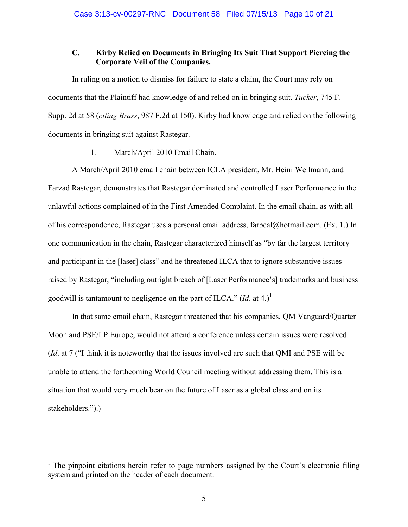## **C. Kirby Relied on Documents in Bringing Its Suit That Support Piercing the Corporate Veil of the Companies.**

In ruling on a motion to dismiss for failure to state a claim, the Court may rely on documents that the Plaintiff had knowledge of and relied on in bringing suit. *Tucker*, 745 F. Supp. 2d at 58 (*citing Brass*, 987 F.2d at 150). Kirby had knowledge and relied on the following documents in bringing suit against Rastegar.

### 1. March/April 2010 Email Chain.

A March/April 2010 email chain between ICLA president, Mr. Heini Wellmann, and Farzad Rastegar, demonstrates that Rastegar dominated and controlled Laser Performance in the unlawful actions complained of in the First Amended Complaint. In the email chain, as with all of his correspondence, Rastegar uses a personal email address, farbcal@hotmail.com. (Ex. 1.) In one communication in the chain, Rastegar characterized himself as "by far the largest territory and participant in the [laser] class" and he threatened ILCA that to ignore substantive issues raised by Rastegar, "including outright breach of [Laser Performance's] trademarks and business goodwill is tantamount to negligence on the part of ILCA."  $(Id.$  at 4.)<sup>1</sup>

In that same email chain, Rastegar threatened that his companies, QM Vanguard/Quarter Moon and PSE/LP Europe, would not attend a conference unless certain issues were resolved. (*Id*. at 7 ("I think it is noteworthy that the issues involved are such that QMI and PSE will be unable to attend the forthcoming World Council meeting without addressing them. This is a situation that would very much bear on the future of Laser as a global class and on its stakeholders.").)

 $\overline{a}$ 

<sup>&</sup>lt;sup>1</sup> The pinpoint citations herein refer to page numbers assigned by the Court's electronic filing system and printed on the header of each document.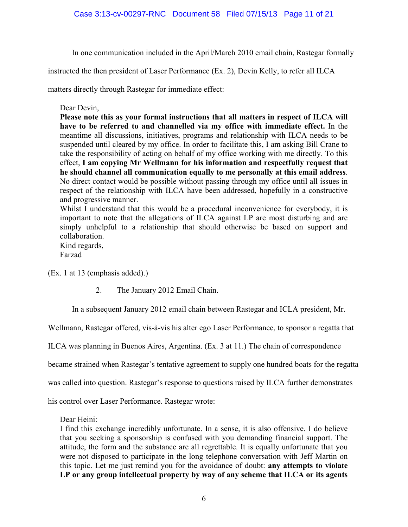In one communication included in the April/March 2010 email chain, Rastegar formally

instructed the then president of Laser Performance (Ex. 2), Devin Kelly, to refer all ILCA

matters directly through Rastegar for immediate effect:

## Dear Devin,

**Please note this as your formal instructions that all matters in respect of ILCA will have to be referred to and channelled via my office with immediate effect.** In the meantime all discussions, initiatives, programs and relationship with ILCA needs to be suspended until cleared by my office. In order to facilitate this, I am asking Bill Crane to take the responsibility of acting on behalf of my office working with me directly. To this effect, **I am copying Mr Wellmann for his information and respectfully request that he should channel all communication equally to me personally at this email address**. No direct contact would be possible without passing through my office until all issues in respect of the relationship with ILCA have been addressed, hopefully in a constructive and progressive manner.

Whilst I understand that this would be a procedural inconvenience for everybody, it is important to note that the allegations of ILCA against LP are most disturbing and are simply unhelpful to a relationship that should otherwise be based on support and collaboration.

Kind regards, Farzad

(Ex. 1 at 13 (emphasis added).)

2. The January 2012 Email Chain.

In a subsequent January 2012 email chain between Rastegar and ICLA president, Mr.

Wellmann, Rastegar offered, vis-à-vis his alter ego Laser Performance, to sponsor a regatta that

ILCA was planning in Buenos Aires, Argentina. (Ex. 3 at 11.) The chain of correspondence

became strained when Rastegar's tentative agreement to supply one hundred boats for the regatta

was called into question. Rastegar's response to questions raised by ILCA further demonstrates

his control over Laser Performance. Rastegar wrote:

Dear Heini:

I find this exchange incredibly unfortunate. In a sense, it is also offensive. I do believe that you seeking a sponsorship is confused with you demanding financial support. The attitude, the form and the substance are all regrettable. It is equally unfortunate that you were not disposed to participate in the long telephone conversation with Jeff Martin on this topic. Let me just remind you for the avoidance of doubt: **any attempts to violate LP or any group intellectual property by way of any scheme that ILCA or its agents**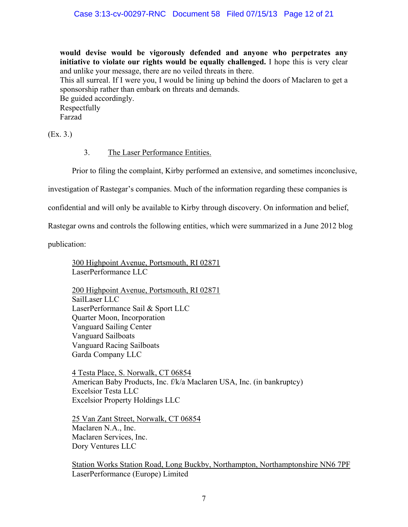**would devise would be vigorously defended and anyone who perpetrates any initiative to violate our rights would be equally challenged.** I hope this is very clear and unlike your message, there are no veiled threats in there.

This all surreal. If I were you, I would be lining up behind the doors of Maclaren to get a sponsorship rather than embark on threats and demands.

Be guided accordingly. Respectfully Farzad

(Ex. 3.)

# 3. The Laser Performance Entities.

Prior to filing the complaint, Kirby performed an extensive, and sometimes inconclusive,

investigation of Rastegar's companies. Much of the information regarding these companies is

confidential and will only be available to Kirby through discovery. On information and belief,

Rastegar owns and controls the following entities, which were summarized in a June 2012 blog

publication:

300 Highpoint Avenue, Portsmouth, RI 02871 LaserPerformance LLC

200 Highpoint Avenue, Portsmouth, RI 02871 SailLaser LLC LaserPerformance Sail & Sport LLC Quarter Moon, Incorporation Vanguard Sailing Center Vanguard Sailboats Vanguard Racing Sailboats Garda Company LLC

4 Testa Place, S. Norwalk, CT 06854 American Baby Products, Inc. f/k/a Maclaren USA, Inc. (in bankruptcy) Excelsior Testa LLC Excelsior Property Holdings LLC

25 Van Zant Street, Norwalk, CT 06854 Maclaren N.A., Inc. Maclaren Services, Inc. Dory Ventures LLC

Station Works Station Road, Long Buckby, Northampton, Northamptonshire NN6 7PF LaserPerformance (Europe) Limited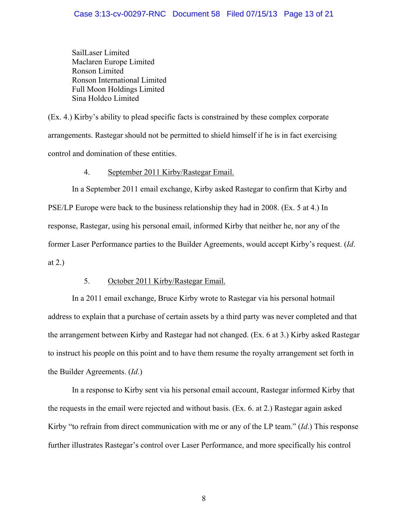SailLaser Limited Maclaren Europe Limited Ronson Limited Ronson International Limited Full Moon Holdings Limited Sina Holdco Limited

(Ex. 4.) Kirby's ability to plead specific facts is constrained by these complex corporate arrangements. Rastegar should not be permitted to shield himself if he is in fact exercising control and domination of these entities.

## 4. September 2011 Kirby/Rastegar Email.

In a September 2011 email exchange, Kirby asked Rastegar to confirm that Kirby and PSE/LP Europe were back to the business relationship they had in 2008. (Ex. 5 at 4.) In response, Rastegar, using his personal email, informed Kirby that neither he, nor any of the former Laser Performance parties to the Builder Agreements, would accept Kirby's request. (*Id*. at 2.)

# 5. October 2011 Kirby/Rastegar Email.

In a 2011 email exchange, Bruce Kirby wrote to Rastegar via his personal hotmail address to explain that a purchase of certain assets by a third party was never completed and that the arrangement between Kirby and Rastegar had not changed. (Ex. 6 at 3.) Kirby asked Rastegar to instruct his people on this point and to have them resume the royalty arrangement set forth in the Builder Agreements. (*Id*.)

In a response to Kirby sent via his personal email account, Rastegar informed Kirby that the requests in the email were rejected and without basis. (Ex. 6. at 2.) Rastegar again asked Kirby "to refrain from direct communication with me or any of the LP team." (*Id*.) This response further illustrates Rastegar's control over Laser Performance, and more specifically his control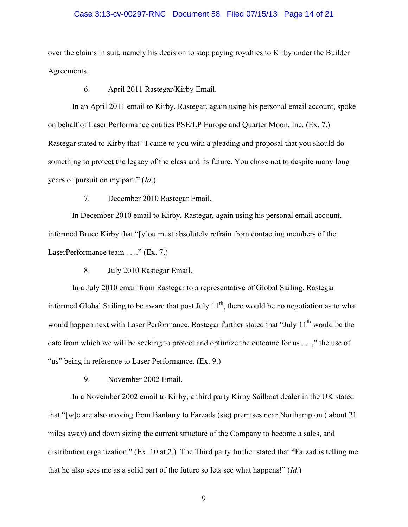#### Case 3:13-cv-00297-RNC Document 58 Filed 07/15/13 Page 14 of 21

over the claims in suit, namely his decision to stop paying royalties to Kirby under the Builder Agreements.

#### 6. April 2011 Rastegar/Kirby Email.

In an April 2011 email to Kirby, Rastegar, again using his personal email account, spoke on behalf of Laser Performance entities PSE/LP Europe and Quarter Moon, Inc. (Ex. 7.) Rastegar stated to Kirby that "I came to you with a pleading and proposal that you should do something to protect the legacy of the class and its future. You chose not to despite many long years of pursuit on my part." (*Id*.)

### 7. December 2010 Rastegar Email.

In December 2010 email to Kirby, Rastegar, again using his personal email account, informed Bruce Kirby that "[y]ou must absolutely refrain from contacting members of the LaserPerformance team . . .." (Ex. 7.)

### 8. July 2010 Rastegar Email.

In a July 2010 email from Rastegar to a representative of Global Sailing, Rastegar informed Global Sailing to be aware that post July  $11<sup>th</sup>$ , there would be no negotiation as to what would happen next with Laser Performance. Rastegar further stated that "July  $11<sup>th</sup>$  would be the date from which we will be seeking to protect and optimize the outcome for us . . .," the use of "us" being in reference to Laser Performance. (Ex. 9.)

9. November 2002 Email.

In a November 2002 email to Kirby, a third party Kirby Sailboat dealer in the UK stated that "[w]e are also moving from Banbury to Farzads (sic) premises near Northampton ( about 21 miles away) and down sizing the current structure of the Company to become a sales, and distribution organization." (Ex. 10 at 2.) The Third party further stated that "Farzad is telling me that he also sees me as a solid part of the future so lets see what happens!" (*Id*.)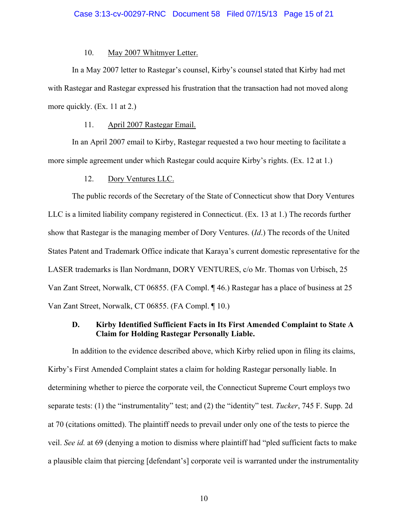#### Case 3:13-cv-00297-RNC Document 58 Filed 07/15/13 Page 15 of 21

### 10. May 2007 Whitmyer Letter.

In a May 2007 letter to Rastegar's counsel, Kirby's counsel stated that Kirby had met with Rastegar and Rastegar expressed his frustration that the transaction had not moved along more quickly. (Ex. 11 at 2.)

## 11. April 2007 Rastegar Email.

 In an April 2007 email to Kirby, Rastegar requested a two hour meeting to facilitate a more simple agreement under which Rastegar could acquire Kirby's rights. (Ex. 12 at 1.)

### 12. Dory Ventures LLC.

The public records of the Secretary of the State of Connecticut show that Dory Ventures LLC is a limited liability company registered in Connecticut. (Ex. 13 at 1.) The records further show that Rastegar is the managing member of Dory Ventures. (*Id*.) The records of the United States Patent and Trademark Office indicate that Karaya's current domestic representative for the LASER trademarks is Ilan Nordmann, DORY VENTURES, c/o Mr. Thomas von Urbisch, 25 Van Zant Street, Norwalk, CT 06855. (FA Compl. ¶ 46.) Rastegar has a place of business at 25 Van Zant Street, Norwalk, CT 06855. (FA Compl. ¶ 10.)

### **D. Kirby Identified Sufficient Facts in Its First Amended Complaint to State A Claim for Holding Rastegar Personally Liable.**

In addition to the evidence described above, which Kirby relied upon in filing its claims, Kirby's First Amended Complaint states a claim for holding Rastegar personally liable. In determining whether to pierce the corporate veil, the Connecticut Supreme Court employs two separate tests: (1) the "instrumentality" test; and (2) the "identity" test. *Tucker*, 745 F. Supp. 2d at 70 (citations omitted). The plaintiff needs to prevail under only one of the tests to pierce the veil. *See id.* at 69 (denying a motion to dismiss where plaintiff had "pled sufficient facts to make a plausible claim that piercing [defendant's] corporate veil is warranted under the instrumentality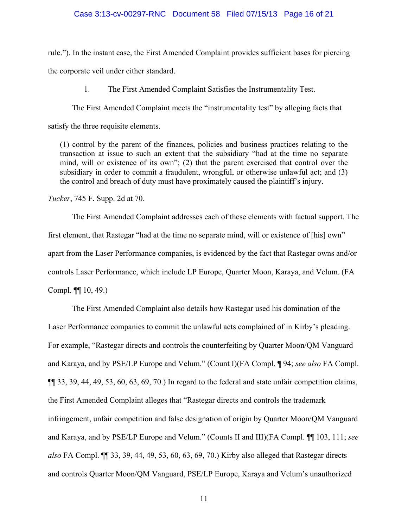# Case 3:13-cv-00297-RNC Document 58 Filed 07/15/13 Page 16 of 21

rule."). In the instant case, the First Amended Complaint provides sufficient bases for piercing the corporate veil under either standard.

### 1. The First Amended Complaint Satisfies the Instrumentality Test.

The First Amended Complaint meets the "instrumentality test" by alleging facts that

satisfy the three requisite elements.

(1) control by the parent of the finances, policies and business practices relating to the transaction at issue to such an extent that the subsidiary "had at the time no separate mind, will or existence of its own"; (2) that the parent exercised that control over the subsidiary in order to commit a fraudulent, wrongful, or otherwise unlawful act; and (3) the control and breach of duty must have proximately caused the plaintiff's injury.

*Tucker*, 745 F. Supp. 2d at 70.

 The First Amended Complaint addresses each of these elements with factual support. The first element, that Rastegar "had at the time no separate mind, will or existence of [his] own" apart from the Laser Performance companies, is evidenced by the fact that Rastegar owns and/or controls Laser Performance, which include LP Europe, Quarter Moon, Karaya, and Velum. (FA Compl. ¶¶ 10, 49.)

 The First Amended Complaint also details how Rastegar used his domination of the Laser Performance companies to commit the unlawful acts complained of in Kirby's pleading. For example, "Rastegar directs and controls the counterfeiting by Quarter Moon/QM Vanguard and Karaya, and by PSE/LP Europe and Velum." (Count I)(FA Compl. ¶ 94; *see also* FA Compl. ¶¶ 33, 39, 44, 49, 53, 60, 63, 69, 70.) In regard to the federal and state unfair competition claims, the First Amended Complaint alleges that "Rastegar directs and controls the trademark infringement, unfair competition and false designation of origin by Quarter Moon/QM Vanguard and Karaya, and by PSE/LP Europe and Velum." (Counts II and III)(FA Compl. ¶¶ 103, 111; *see also* FA Compl. ¶¶ 33, 39, 44, 49, 53, 60, 63, 69, 70.) Kirby also alleged that Rastegar directs and controls Quarter Moon/QM Vanguard, PSE/LP Europe, Karaya and Velum's unauthorized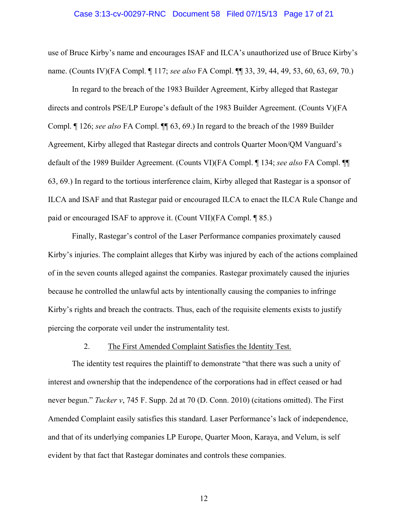#### Case 3:13-cv-00297-RNC Document 58 Filed 07/15/13 Page 17 of 21

use of Bruce Kirby's name and encourages ISAF and ILCA's unauthorized use of Bruce Kirby's name. (Counts IV)(FA Compl. ¶ 117; *see also* FA Compl. ¶¶ 33, 39, 44, 49, 53, 60, 63, 69, 70.)

In regard to the breach of the 1983 Builder Agreement, Kirby alleged that Rastegar directs and controls PSE/LP Europe's default of the 1983 Builder Agreement. (Counts V)(FA Compl. ¶ 126; *see also* FA Compl. ¶¶ 63, 69.) In regard to the breach of the 1989 Builder Agreement, Kirby alleged that Rastegar directs and controls Quarter Moon/QM Vanguard's default of the 1989 Builder Agreement. (Counts VI)(FA Compl. ¶ 134; *see also* FA Compl. ¶¶ 63, 69.) In regard to the tortious interference claim, Kirby alleged that Rastegar is a sponsor of ILCA and ISAF and that Rastegar paid or encouraged ILCA to enact the ILCA Rule Change and paid or encouraged ISAF to approve it. (Count VII)(FA Compl. ¶ 85.)

 Finally, Rastegar's control of the Laser Performance companies proximately caused Kirby's injuries. The complaint alleges that Kirby was injured by each of the actions complained of in the seven counts alleged against the companies. Rastegar proximately caused the injuries because he controlled the unlawful acts by intentionally causing the companies to infringe Kirby's rights and breach the contracts. Thus, each of the requisite elements exists to justify piercing the corporate veil under the instrumentality test.

#### 2. The First Amended Complaint Satisfies the Identity Test.

The identity test requires the plaintiff to demonstrate "that there was such a unity of interest and ownership that the independence of the corporations had in effect ceased or had never begun." *Tucker v*, 745 F. Supp. 2d at 70 (D. Conn. 2010) (citations omitted). The First Amended Complaint easily satisfies this standard. Laser Performance's lack of independence, and that of its underlying companies LP Europe, Quarter Moon, Karaya, and Velum, is self evident by that fact that Rastegar dominates and controls these companies.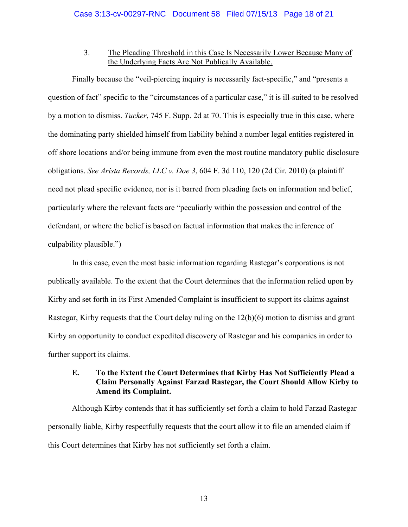### 3. The Pleading Threshold in this Case Is Necessarily Lower Because Many of the Underlying Facts Are Not Publically Available.

Finally because the "veil-piercing inquiry is necessarily fact-specific," and "presents a question of fact" specific to the "circumstances of a particular case," it is ill-suited to be resolved by a motion to dismiss. *Tucker*, 745 F. Supp. 2d at 70. This is especially true in this case, where the dominating party shielded himself from liability behind a number legal entities registered in off shore locations and/or being immune from even the most routine mandatory public disclosure obligations. *See Arista Records, LLC v. Doe 3*, 604 F. 3d 110, 120 (2d Cir. 2010) (a plaintiff need not plead specific evidence, nor is it barred from pleading facts on information and belief, particularly where the relevant facts are "peculiarly within the possession and control of the defendant, or where the belief is based on factual information that makes the inference of culpability plausible.")

In this case, even the most basic information regarding Rastegar's corporations is not publically available. To the extent that the Court determines that the information relied upon by Kirby and set forth in its First Amended Complaint is insufficient to support its claims against Rastegar, Kirby requests that the Court delay ruling on the 12(b)(6) motion to dismiss and grant Kirby an opportunity to conduct expedited discovery of Rastegar and his companies in order to further support its claims.

# **E. To the Extent the Court Determines that Kirby Has Not Sufficiently Plead a Claim Personally Against Farzad Rastegar, the Court Should Allow Kirby to Amend its Complaint.**

Although Kirby contends that it has sufficiently set forth a claim to hold Farzad Rastegar personally liable, Kirby respectfully requests that the court allow it to file an amended claim if this Court determines that Kirby has not sufficiently set forth a claim.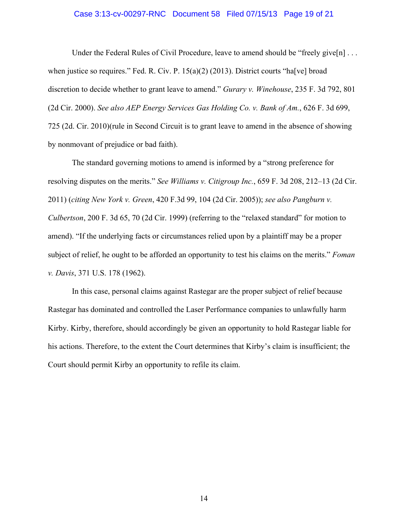# Case 3:13-cv-00297-RNC Document 58 Filed 07/15/13 Page 19 of 21

Under the Federal Rules of Civil Procedure, leave to amend should be "freely give[n]... when justice so requires." Fed. R. Civ. P.  $15(a)(2)$  (2013). District courts "halvel broad discretion to decide whether to grant leave to amend." *Gurary v. Winehouse*, 235 F. 3d 792, 801 (2d Cir. 2000). *See also AEP Energy Services Gas Holding Co. v. Bank of Am.*, 626 F. 3d 699, 725 (2d. Cir. 2010)(rule in Second Circuit is to grant leave to amend in the absence of showing by nonmovant of prejudice or bad faith).

The standard governing motions to amend is informed by a "strong preference for resolving disputes on the merits." *See Williams v. Citigroup Inc.*, 659 F. 3d 208, 212–13 (2d Cir. 2011) (*citing New York v. Green*, 420 F.3d 99, 104 (2d Cir. 2005)); *see also Pangburn v. Culbertson*, 200 F. 3d 65, 70 (2d Cir. 1999) (referring to the "relaxed standard" for motion to amend). "If the underlying facts or circumstances relied upon by a plaintiff may be a proper subject of relief, he ought to be afforded an opportunity to test his claims on the merits." *Foman v. Davis*, 371 U.S. 178 (1962).

 In this case, personal claims against Rastegar are the proper subject of relief because Rastegar has dominated and controlled the Laser Performance companies to unlawfully harm Kirby. Kirby, therefore, should accordingly be given an opportunity to hold Rastegar liable for his actions. Therefore, to the extent the Court determines that Kirby's claim is insufficient; the Court should permit Kirby an opportunity to refile its claim.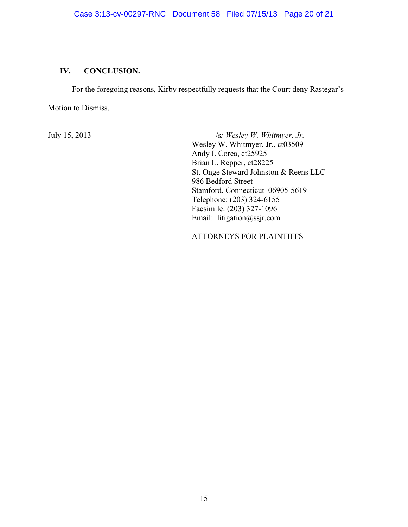# **IV. CONCLUSION.**

For the foregoing reasons, Kirby respectfully requests that the Court deny Rastegar's

Motion to Dismiss.

July 15, 2013 /s/ *Wesley W. Whitmyer, Jr.* 

 Wesley W. Whitmyer, Jr., ct03509 Andy I. Corea, ct25925 Brian L. Repper, ct28225 St. Onge Steward Johnston & Reens LLC 986 Bedford Street Stamford, Connecticut 06905-5619 Telephone: (203) 324-6155 Facsimile: (203) 327-1096 Email: litigation@ssjr.com

ATTORNEYS FOR PLAINTIFFS